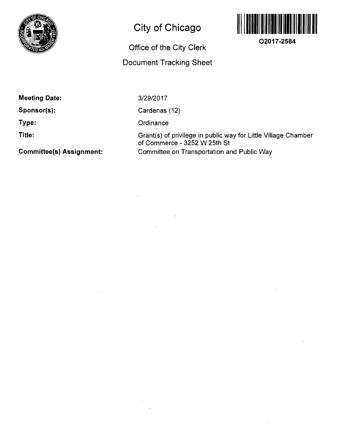

# **City of Chicago**

### **Office of the City Clerk**

### **Document Tracking Sheet**



**O2017-2584** 

**Meeting Date:** 

**Sponsor(s):** 

**Type:** 

**Title:** 

**Committee(s) Assignment:** 

3/29/2017

Cardenas (12)

**Ordinance** 

Grant(s) of privilege in public way for Little Village Chamber of Commerce - 3252 W 25th St Committee on Transportation and Public Way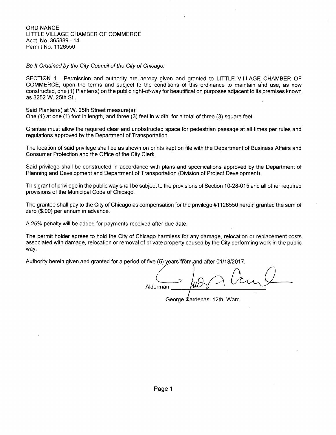**ORDINANCE** LITTLE VILLAGE CHAMBER OF COMMERCE Acct. No. 365889 - 14 Permit No. 1126550

Be It Ordained by the City Council of the City of Chicago:

SECTION 1. Permission and authority are hereby given and granted to LITTLE VILLAGE CHAMBER OF COMMERCE, upon the terms and subject to the conditions of this ordinance to maintain ahd use, as now constructed, one (1) Planter(s) on the public right-of-way for beautification purposes adjacent to its premises known as 3252 W. 25th St..

Said Planter(s) at W. 25th Street measure(s):

One (1) at one (1) foot in length, and three (3) feet in width for a total of three (3) square feet.

Grantee must allow the required clear and unobstructed space for pedestrian passage at all times per rules and regulations approved by the Department of Transportation.

The location of said privilege shall be as shown on prints kept on file with the Department of Business Affairs and Consumer Protection and the Office of the City Clerk.

Said privilege shall be constructed in accordance with plans and specifications approved by the Department of Planning and Development and Department of Transportation (Division of Project Development).

This grant of privilege in the public way shall be subject to the provisions of Section 10-28-015 and all other required provisions of the Municipal Code of Chicago.

The grantee shall pay to the City of Chicago as compensation for the privilege #1126550 herein granted the sum of zero (\$.00) per annum in advance.

A 25% penalty will be added for payments received after due date.

The permit holder agrees to hold the City of Chicago harmless for any damage, relocation or replacement costs associated with damage, relocation or removal of private property caused by the City performing work in the public way.

Authority herein given and granted for a period of five (5) years from and after 01/18/2017.

Alderman

George Cardenas 12th Ward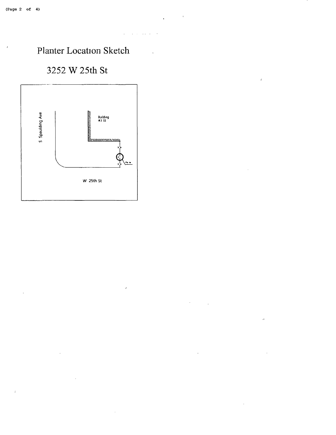#### $\mathcal{L}$  $\sim 10^{-1}$  .

# Planter Location Sketch

# 3252 W 25th St



 $\hat{\boldsymbol{\gamma}}$